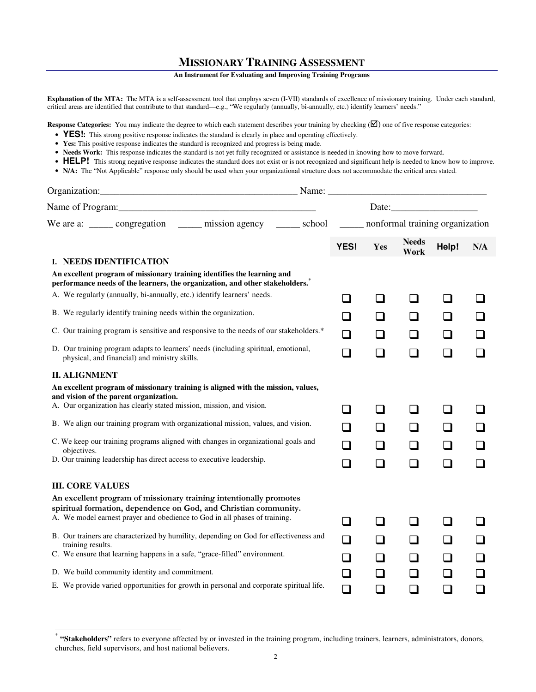## **MISSIONARY TRAINING ASSESSMENT**

## **An Instrument for Evaluating and Improving Training Programs**

**Explanation of the MTA:** The MTA is a self-assessment tool that employs seven (I-VII) standards of excellence of missionary training. Under each standard, critical areas are identified that contribute to that standard—e.g., "We regularly (annually, bi-annually, etc.) identify learners' needs."

**Response Categories:** You may indicate the degree to which each statement describes your training by checking  $(\mathbf{\nabla})$  one of five response categories:

- **YES!** This strong positive response indicates the standard is clearly in place and operating effectively.
- **Yes:** This positive response indicates the standard is recognized and progress is being made.
- Needs Work: This response indicates the standard is not yet fully recognized or assistance is needed in knowing how to move forward.
- HELP! This strong negative response indicates the standard does not exist or is not recognized and significant help is needed to know how to improve.
- **N/A:** The "Not Applicable" response only should be used when your organizational structure does not accommodate the critical area stated.

| Organization:<br><u> 2000 - 2000 - 2000 - 2000 - 2000 - 2000 - 2000 - 2000 - 2000 - 2000 - 2000 - 2000 - 2000 - 2000 - 2000 - 200</u>                   | Name: $\overline{\phantom{a}}$ |        |        |                          |                |                             |
|---------------------------------------------------------------------------------------------------------------------------------------------------------|--------------------------------|--------|--------|--------------------------|----------------|-----------------------------|
|                                                                                                                                                         |                                |        |        |                          |                |                             |
| We are a: ______ congregation _______ mission agency _______ school _______ nonformal training organization                                             |                                |        |        |                          |                |                             |
|                                                                                                                                                         |                                | YES!   | Yes    | <b>Needs</b><br>Work     | Help!          | N/A                         |
| I. NEEDS IDENTIFICATION                                                                                                                                 |                                |        |        |                          |                |                             |
| An excellent program of missionary training identifies the learning and<br>performance needs of the learners, the organization, and other stakeholders. |                                |        |        |                          |                |                             |
| A. We regularly (annually, bi-annually, etc.) identify learners' needs.                                                                                 |                                | $\Box$ | l I    | $\Box$                   | $\Box$         |                             |
| B. We regularly identify training needs within the organization.                                                                                        |                                |        |        |                          | ப              | $\mathcal{L}_{\mathcal{A}}$ |
| C. Our training program is sensitive and responsive to the needs of our stakeholders.*                                                                  |                                | $\Box$ |        | l 1                      | ❏              | $\Box$                      |
| D. Our training program adapts to learners' needs (including spiritual, emotional,<br>physical, and financial) and ministry skills.                     |                                | $\Box$ | $\Box$ | $\Box$                   | $\Box$         | $\Box$                      |
| <b>II. ALIGNMENT</b>                                                                                                                                    |                                |        |        |                          |                |                             |
| An excellent program of missionary training is aligned with the mission, values,<br>and vision of the parent organization.                              |                                |        |        |                          |                |                             |
| A. Our organization has clearly stated mission, mission, and vision.                                                                                    |                                | - 1    | H      | - 1                      | ⊔              |                             |
| B. We align our training program with organizational mission, values, and vision.                                                                       |                                | $\sim$ |        |                          | $\Box$         | $\sqcup$                    |
| C. We keep our training programs aligned with changes in organizational goals and<br>objectives.                                                        |                                |        |        |                          | $\Box$         |                             |
| D. Our training leadership has direct access to executive leadership.                                                                                   |                                | $\Box$ | $\Box$ | $\Box$                   | $\Box$         | $\sim$                      |
| <b>III. CORE VALUES</b>                                                                                                                                 |                                |        |        |                          |                |                             |
| An excellent program of missionary training intentionally promotes<br>spiritual formation, dependence on God, and Christian community.                  |                                |        |        |                          |                |                             |
| A. We model earnest prayer and obedience to God in all phases of training.                                                                              |                                | $\sim$ |        |                          | n.             |                             |
| B. Our trainers are characterized by humility, depending on God for effectiveness and<br>training results.                                              |                                | □      | H      | $\overline{\phantom{a}}$ | $\blacksquare$ | $\Box$                      |
| C. We ensure that learning happens in a safe, "grace-filled" environment.                                                                               |                                |        |        |                          | $\Box$         |                             |
| D. We build community identity and commitment.                                                                                                          |                                | コ      |        |                          | $\mathbb{Z}$   | $\Box$                      |
| E. We provide varied opportunities for growth in personal and corporate spiritual life.                                                                 |                                | $\Box$ | $\Box$ | $\Box$                   | $\Box$         | $\Box$                      |

 $\overline{a}$ 

<sup>\*</sup> **"Stakeholders"** refers to everyone affected by or invested in the training program, including trainers, learners, administrators, donors, churches, field supervisors, and host national believers.